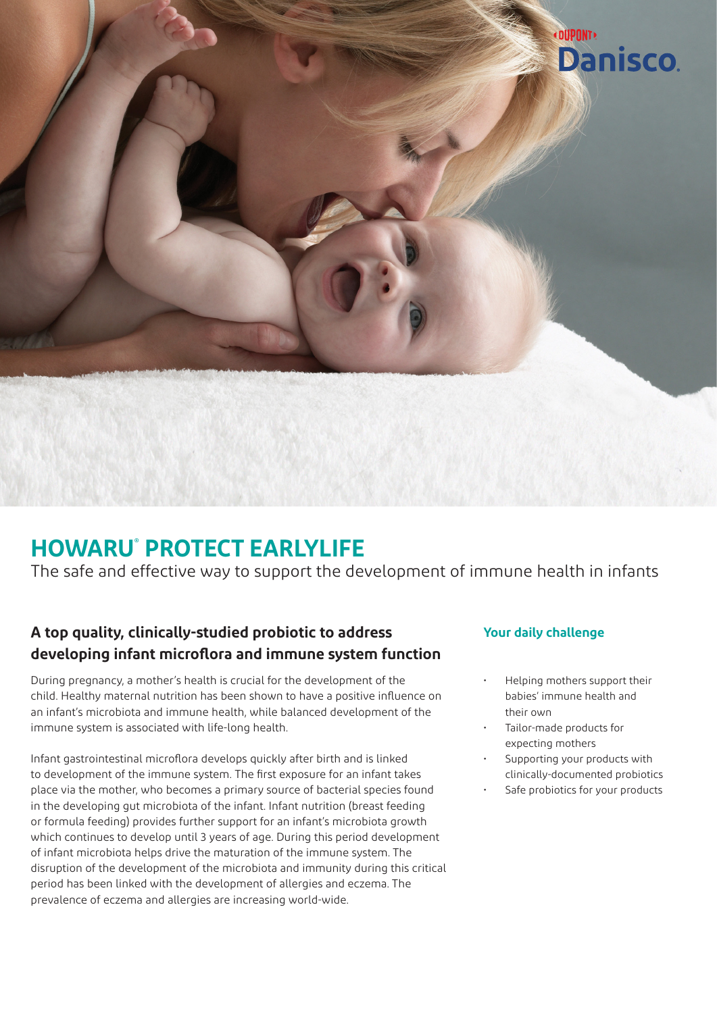

## **HOWARU® PROTECT EARLYLIFE**

The safe and effective way to support the development of immune health in infants

### **A top quality, clinically-studied probiotic to address developing infant microflora and immune system function**

During pregnancy, a mother's health is crucial for the development of the child. Healthy maternal nutrition has been shown to have a positive influence on an infant's microbiota and immune health, while balanced development of the immune system is associated with life-long health.

Infant gastrointestinal microflora develops quickly after birth and is linked to development of the immune system. The first exposure for an infant takes place via the mother, who becomes a primary source of bacterial species found in the developing gut microbiota of the infant. Infant nutrition (breast feeding or formula feeding) provides further support for an infant's microbiota growth which continues to develop until 3 years of age. During this period development of infant microbiota helps drive the maturation of the immune system. The disruption of the development of the microbiota and immunity during this critical period has been linked with the development of allergies and eczema. The prevalence of eczema and allergies are increasing world-wide.

#### **Your daily challenge**

- Helping mothers support their babies' immune health and their own
- Tailor-made products for expecting mothers
- Supporting your products with clinically-documented probiotics
- Safe probiotics for your products